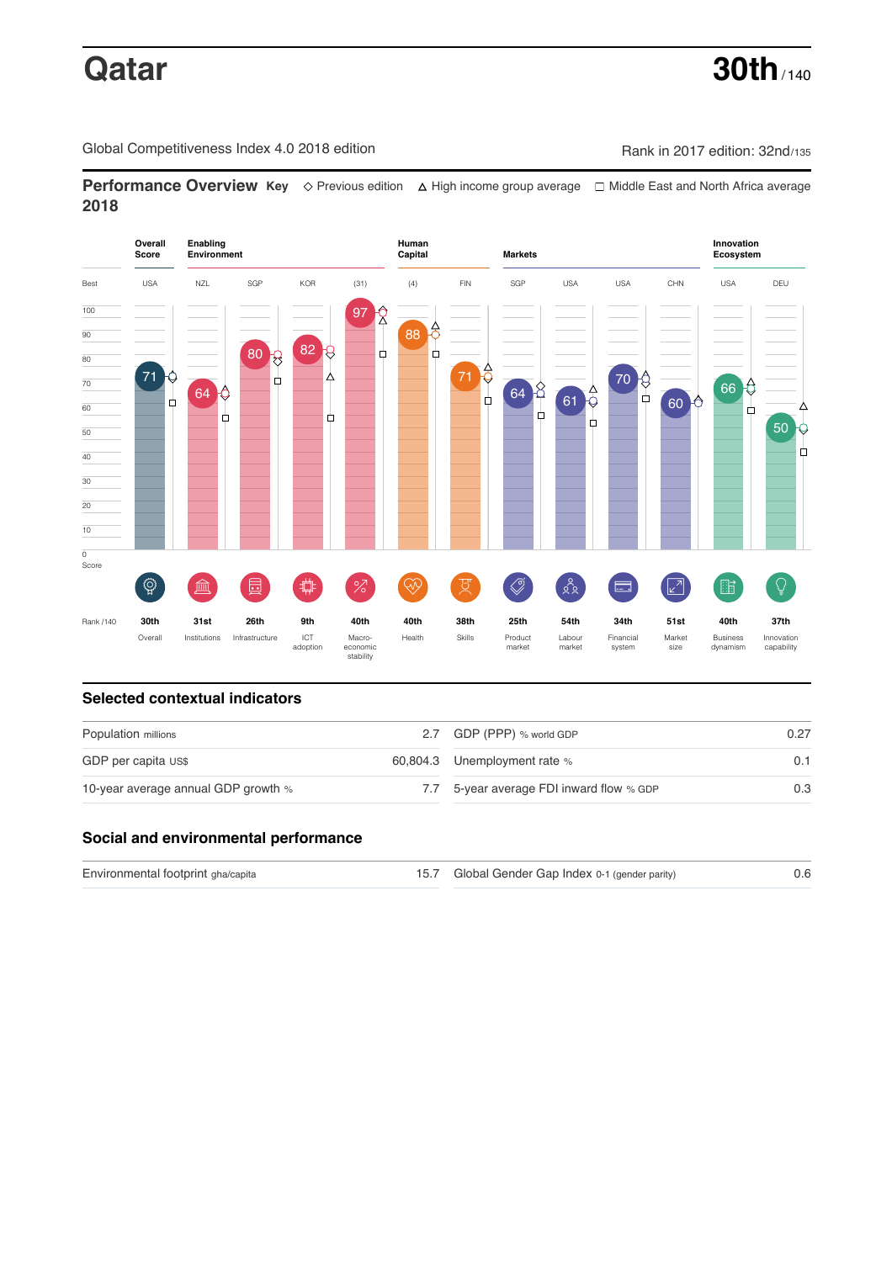# **Qatar 30th** / 140

Global Competitiveness Index 4.0 2018 edition Rank in 2017 edition: 32nd/135

**Performance Overview Key** Previous edition High income group average Middle East and North Africa average **2018**



# **Selected contextual indicators**

| Population millions                 |     | 2.7 GDP (PPP) % world GDP                 | 0.27 |
|-------------------------------------|-----|-------------------------------------------|------|
| GDP per capita US\$                 |     | 60,804.3 Unemployment rate %              | 0.1  |
| 10-year average annual GDP growth % | 7.7 | $5$ -year average FDI inward flow $%$ GDP | 0.3  |

## **Social and environmental performance**

| Environmental footprint gha/capita | 15.7 Global Gender Gap Index 0-1 (gender parity) |  |
|------------------------------------|--------------------------------------------------|--|
|                                    |                                                  |  |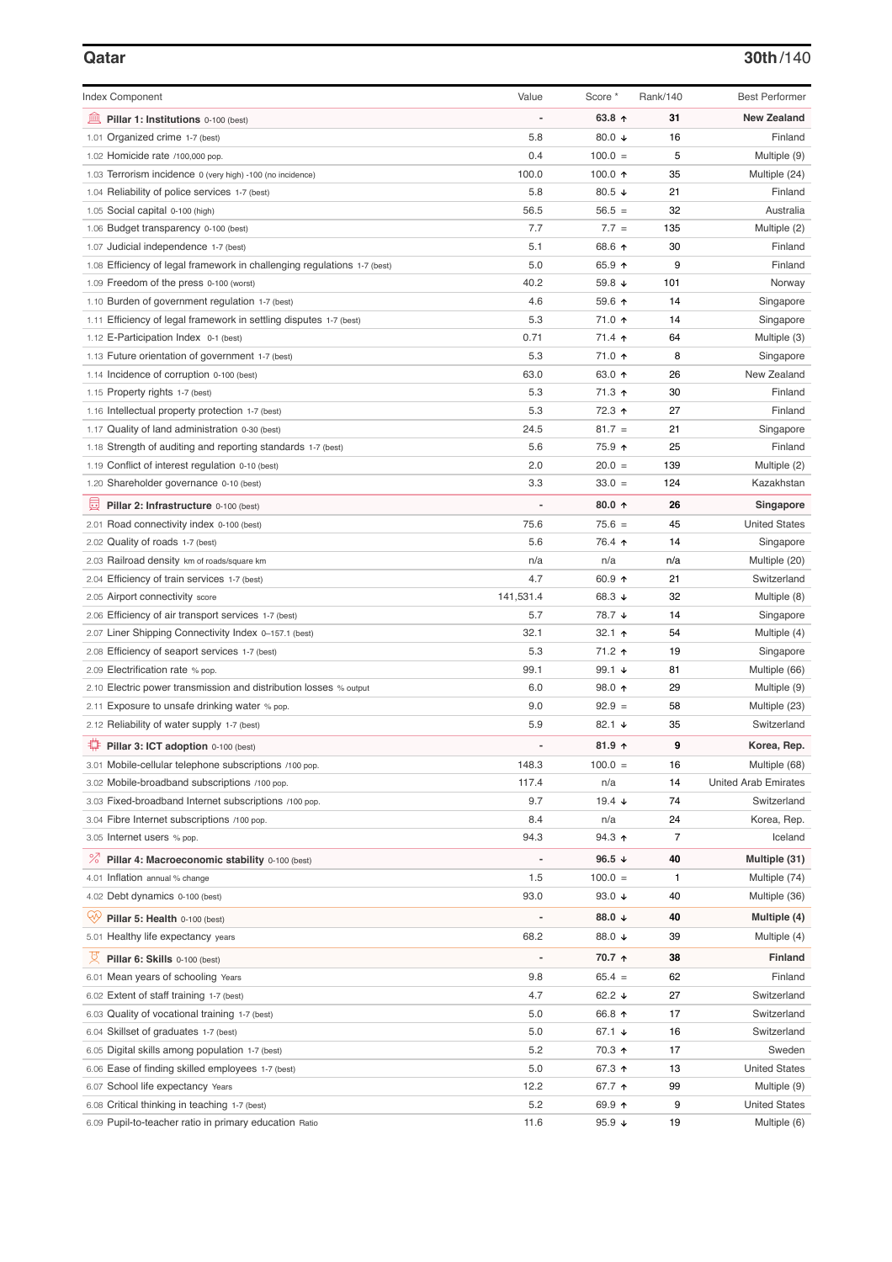### **Qatar 30th**/140

| <b>Index Component</b>                                                                                  | Value                    | Score *                     | Rank/140     | <b>Best Performer</b>                |
|---------------------------------------------------------------------------------------------------------|--------------------------|-----------------------------|--------------|--------------------------------------|
| 寙<br>Pillar 1: Institutions 0-100 (best)                                                                |                          | 63.8 $0$                    | 31           | <b>New Zealand</b>                   |
| 1.01 Organized crime 1-7 (best)                                                                         | 5.8                      | 80.0 $\sqrt{ }$             | 16           | Finland                              |
| 1.02 Homicide rate /100,000 pop.                                                                        | 0.4                      | $100.0 =$                   | 5            | Multiple (9)                         |
| 1.03 Terrorism incidence 0 (very high) -100 (no incidence)                                              | 100.0                    | 100.0 $\uparrow$            | 35           | Multiple (24)                        |
| 1.04 Reliability of police services 1-7 (best)                                                          | 5.8                      | 80.5 $\sqrt{ }$             | 21           | Finland                              |
| 1.05 Social capital 0-100 (high)                                                                        | 56.5                     | $56.5 =$                    | 32           | Australia                            |
| 1.06 Budget transparency 0-100 (best)                                                                   | 7.7                      | $7.7 =$                     | 135          | Multiple (2)                         |
| 1.07 Judicial independence 1-7 (best)                                                                   | 5.1                      | 68.6 ↑                      | 30           | Finland                              |
| 1.08 Efficiency of legal framework in challenging regulations 1-7 (best)                                | 5.0                      | 65.9 ↑                      | 9            | Finland                              |
| 1.09 Freedom of the press 0-100 (worst)                                                                 | 40.2                     | 59.8 $\sqrt{ }$             | 101          | Norway                               |
| 1.10 Burden of government regulation 1-7 (best)                                                         | 4.6                      | 59.6 个                      | 14           | Singapore                            |
| 1.11 Efficiency of legal framework in settling disputes 1-7 (best)                                      | 5.3                      | 71.0 ↑                      | 14           | Singapore                            |
| 1.12 E-Participation Index 0-1 (best)                                                                   | 0.71                     | 71.4 ↑                      | 64           | Multiple (3)                         |
| 1.13 Future orientation of government 1-7 (best)                                                        | 5.3                      | 71.0 ↑                      | 8            | Singapore                            |
| 1.14 Incidence of corruption 0-100 (best)                                                               | 63.0                     | 63.0 $\uparrow$             | 26           | New Zealand                          |
| 1.15 Property rights 1-7 (best)                                                                         | 5.3                      | 71.3 ↑                      | 30           | Finland                              |
| 1.16 Intellectual property protection 1-7 (best)                                                        | 5.3                      | 72.3 ↑                      | 27           | Finland                              |
| 1.17 Quality of land administration 0-30 (best)                                                         | 24.5                     | $81.7 =$                    | 21           | Singapore                            |
| 1.18 Strength of auditing and reporting standards 1-7 (best)                                            | 5.6                      | 75.9 ↑                      | 25           | Finland                              |
| 1.19 Conflict of interest regulation 0-10 (best)                                                        | 2.0                      | $20.0 =$                    | 139          | Multiple (2)                         |
| 1.20 Shareholder governance 0-10 (best)                                                                 | 3.3                      | $33.0 =$                    | 124          | Kazakhstan                           |
| 圓<br>Pillar 2: Infrastructure 0-100 (best)                                                              |                          | $80.0 \text{ A}$            | 26           | Singapore                            |
| 2.01 Road connectivity index 0-100 (best)                                                               | 75.6                     | $75.6 =$                    | 45           | <b>United States</b>                 |
| 2.02 Quality of roads 1-7 (best)                                                                        | 5.6                      | 76.4 ↑                      | 14           | Singapore                            |
| 2.03 Railroad density km of roads/square km                                                             | n/a                      | n/a                         | n/a          | Multiple (20)                        |
| 2.04 Efficiency of train services 1-7 (best)                                                            | 4.7                      | 60.9 $\uparrow$             | 21           | Switzerland                          |
| 2.05 Airport connectivity score                                                                         | 141,531.4                | 68.3 ↓                      | 32           | Multiple (8)                         |
| 2.06 Efficiency of air transport services 1-7 (best)                                                    | 5.7                      | 78.7 ↓                      | 14           | Singapore                            |
| 2.07 Liner Shipping Connectivity Index 0-157.1 (best)                                                   | 32.1                     | 32.1 $\uparrow$             | 54           | Multiple (4)                         |
| 2.08 Efficiency of seaport services 1-7 (best)                                                          | 5.3                      | 71.2 ↑                      | 19           | Singapore                            |
| 2.09 Electrification rate % pop.                                                                        | 99.1                     | 99.1 $\sqrt{ }$             | 81           | Multiple (66)                        |
| 2.10 Electric power transmission and distribution losses % output                                       | 6.0                      | 98.0 个                      | 29           | Multiple (9)                         |
| 2.11 Exposure to unsafe drinking water % pop.                                                           | 9.0                      | $92.9 =$                    | 58           | Multiple (23)                        |
| 2.12 Reliability of water supply 1-7 (best)                                                             | 5.9                      | 82.1 $\sqrt{ }$             | 35           | Switzerland                          |
| ₽<br>Pillar 3: ICT adoption 0-100 (best)                                                                |                          | $81.9$ ↑                    | 9            | Korea, Rep.                          |
| 3.01 Mobile-cellular telephone subscriptions /100 pop.                                                  | 148.3                    | $100.0 =$                   | 16           | Multiple (68)                        |
| 3.02 Mobile-broadband subscriptions /100 pop.                                                           | 117.4                    | n/a                         | 14           | <b>United Arab Emirates</b>          |
| 3.03 Fixed-broadband Internet subscriptions /100 pop.                                                   | 9.7                      | 19.4 $\sqrt{ }$             | 74           | Switzerland                          |
| 3.04 Fibre Internet subscriptions /100 pop.                                                             | 8.4                      | n/a                         | 24           | Korea, Rep.                          |
| 3.05 Internet users % pop.                                                                              | 94.3                     | $94.3$ ↑                    | 7            | Iceland                              |
| ℅<br>Pillar 4: Macroeconomic stability 0-100 (best)                                                     | $\overline{\phantom{0}}$ | 96.5 $\sqrt{ }$             | 40           | Multiple (31)                        |
| 4.01 Inflation annual % change                                                                          | 1.5                      | $100.0 =$                   | $\mathbf{1}$ | Multiple (74)                        |
| 4.02 Debt dynamics 0-100 (best)                                                                         | 93.0                     | 93.0 $\sqrt{ }$             | 40           | Multiple (36)                        |
| Qÿ<br>Pillar 5: Health 0-100 (best)                                                                     |                          | 88.0 $\downarrow$           | 40           | Multiple (4)                         |
| 5.01 Healthy life expectancy years                                                                      | 68.2                     | 88.0 ↓                      | 39           | Multiple (4)                         |
| 섯                                                                                                       | $\overline{\phantom{0}}$ | 70.7 ↑                      | 38           | Finland                              |
| Pillar 6: Skills 0-100 (best)                                                                           |                          |                             |              |                                      |
| 6.01 Mean years of schooling Years                                                                      | 9.8<br>4.7               | $65.4 =$<br>62.2 $\sqrt{ }$ | 62<br>27     | Finland<br>Switzerland               |
| 6.02 Extent of staff training 1-7 (best)                                                                | 5.0                      | 66.8 ↑                      | 17           | Switzerland                          |
| 6.03 Quality of vocational training 1-7 (best)                                                          |                          |                             |              |                                      |
| 6.04 Skillset of graduates 1-7 (best)                                                                   | 5.0                      | 67.1 $\sqrt{ }$             | 16           | Switzerland                          |
| 6.05 Digital skills among population 1-7 (best)                                                         | 5.2                      | 70.3 ↑                      | 17           | Sweden                               |
| 6.06 Ease of finding skilled employees 1-7 (best)                                                       | 5.0                      | 67.3 ↑                      | 13           | <b>United States</b>                 |
| 6.07 School life expectancy Years                                                                       | 12.2<br>5.2              | 67.7 ↑                      | 99<br>9      | Multiple (9)<br><b>United States</b> |
| 6.08 Critical thinking in teaching 1-7 (best)<br>6.09 Pupil-to-teacher ratio in primary education Ratio | 11.6                     | 69.9 ↑<br>95.9 $\sqrt{ }$   | 19           | Multiple (6)                         |
|                                                                                                         |                          |                             |              |                                      |